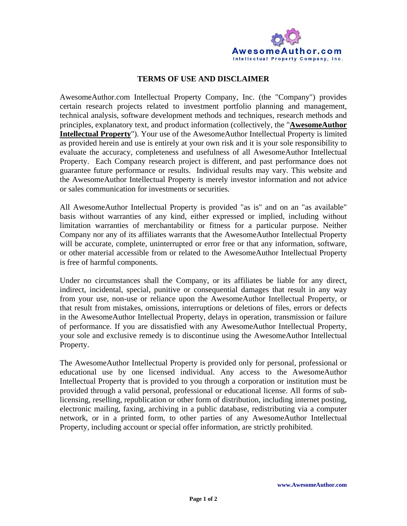

## **TERMS OF USE AND DISCLAIMER**

AwesomeAuthor.com Intellectual Property Company, Inc. (the "Company") provides certain research projects related to investment portfolio planning and management, technical analysis, software development methods and techniques, research methods and principles, explanatory text, and product information (collectively, the "**AwesomeAuthor Intellectual Property**"). Your use of the AwesomeAuthor Intellectual Property is limited as provided herein and use is entirely at your own risk and it is your sole responsibility to evaluate the accuracy, completeness and usefulness of all AwesomeAuthor Intellectual Property. Each Company research project is different, and past performance does not guarantee future performance or results. Individual results may vary. This website and the AwesomeAuthor Intellectual Property is merely investor information and not advice or sales communication for investments or securities.

All AwesomeAuthor Intellectual Property is provided "as is" and on an "as available" basis without warranties of any kind, either expressed or implied, including without limitation warranties of merchantability or fitness for a particular purpose. Neither Company nor any of its affiliates warrants that the AwesomeAuthor Intellectual Property will be accurate, complete, uninterrupted or error free or that any information, software, or other material accessible from or related to the AwesomeAuthor Intellectual Property is free of harmful components.

Under no circumstances shall the Company, or its affiliates be liable for any direct, indirect, incidental, special, punitive or consequential damages that result in any way from your use, non-use or reliance upon the AwesomeAuthor Intellectual Property, or that result from mistakes, omissions, interruptions or deletions of files, errors or defects in the AwesomeAuthor Intellectual Property, delays in operation, transmission or failure of performance. If you are dissatisfied with any AwesomeAuthor Intellectual Property, your sole and exclusive remedy is to discontinue using the AwesomeAuthor Intellectual Property.

The AwesomeAuthor Intellectual Property is provided only for personal, professional or educational use by one licensed individual. Any access to the AwesomeAuthor Intellectual Property that is provided to you through a corporation or institution must be provided through a valid personal, professional or educational license. All forms of sublicensing, reselling, republication or other form of distribution, including internet posting, electronic mailing, faxing, archiving in a public database, redistributing via a computer network, or in a printed form, to other parties of any AwesomeAuthor Intellectual Property, including account or special offer information, are strictly prohibited.